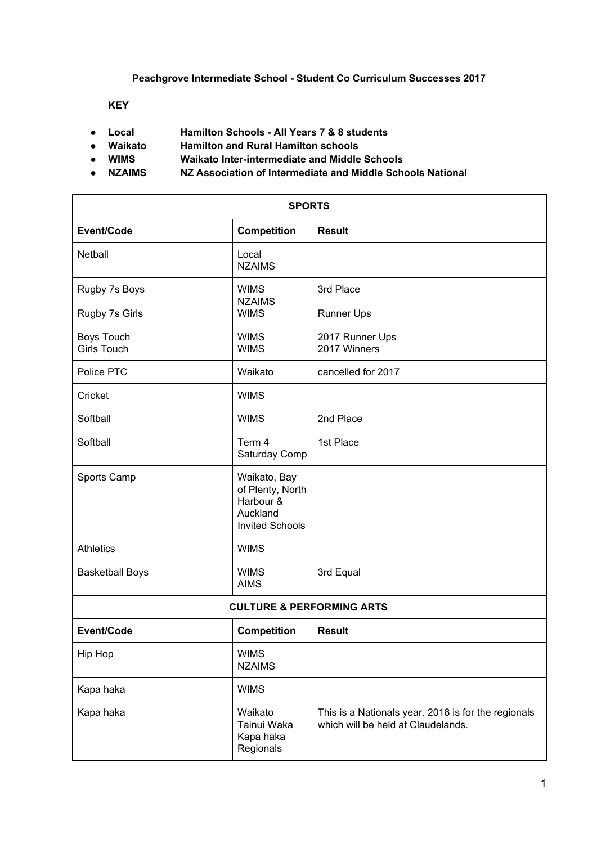## **Peachgrove Intermediate School - Student Co Curriculum Successes 2017**

**KEY**

ń

- **● Local Hamilton Schools - All Years 7 & 8 students**
- **● Waikato Hamilton and Rural Hamilton schools**
- **● WIMS Waikato Inter-intermediate and Middle Schools**
- **● NZAIMS NZ Association of Intermediate and Middle Schools National**

| <b>SPORTS</b>                           |                                                                                     |                                                                                           |  |  |
|-----------------------------------------|-------------------------------------------------------------------------------------|-------------------------------------------------------------------------------------------|--|--|
| Event/Code                              | <b>Competition</b>                                                                  | <b>Result</b>                                                                             |  |  |
| Netball                                 | Local<br><b>NZAIMS</b>                                                              |                                                                                           |  |  |
| Rugby 7s Boys                           | <b>WIMS</b><br><b>NZAIMS</b>                                                        | 3rd Place                                                                                 |  |  |
| Rugby 7s Girls                          | <b>WIMS</b>                                                                         | <b>Runner Ups</b>                                                                         |  |  |
| <b>Boys Touch</b><br><b>Girls Touch</b> | <b>WIMS</b><br><b>WIMS</b>                                                          | 2017 Runner Ups<br>2017 Winners                                                           |  |  |
| Police PTC                              | Waikato                                                                             | cancelled for 2017                                                                        |  |  |
| Cricket                                 | <b>WIMS</b>                                                                         |                                                                                           |  |  |
| Softball                                | <b>WIMS</b>                                                                         | 2nd Place                                                                                 |  |  |
| Softball                                | Term 4<br>Saturday Comp                                                             | 1st Place                                                                                 |  |  |
| Sports Camp                             | Waikato, Bay<br>of Plenty, North<br>Harbour &<br>Auckland<br><b>Invited Schools</b> |                                                                                           |  |  |
| <b>Athletics</b>                        | <b>WIMS</b>                                                                         |                                                                                           |  |  |
| <b>Basketball Boys</b>                  | <b>WIMS</b><br><b>AIMS</b>                                                          | 3rd Equal                                                                                 |  |  |
| <b>CULTURE &amp; PERFORMING ARTS</b>    |                                                                                     |                                                                                           |  |  |
| Event/Code                              | <b>Competition</b>                                                                  | <b>Result</b>                                                                             |  |  |
| Hip Hop                                 | <b>WIMS</b><br><b>NZAIMS</b>                                                        |                                                                                           |  |  |
| Kapa haka                               | <b>WIMS</b>                                                                         |                                                                                           |  |  |
| Kapa haka                               | Waikato<br>Tainui Waka<br>Kapa haka<br>Regionals                                    | This is a Nationals year. 2018 is for the regionals<br>which will be held at Claudelands. |  |  |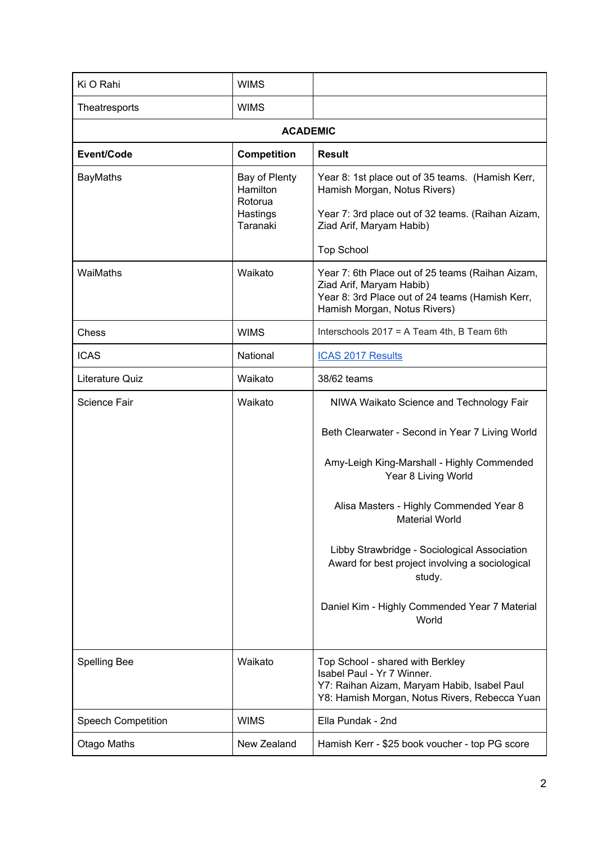| Ki O Rahi                 | <b>WIMS</b>                                                         |                                                                                                                                                                                                                                                                                                                                                                                                      |  |  |
|---------------------------|---------------------------------------------------------------------|------------------------------------------------------------------------------------------------------------------------------------------------------------------------------------------------------------------------------------------------------------------------------------------------------------------------------------------------------------------------------------------------------|--|--|
| Theatresports             | <b>WIMS</b>                                                         |                                                                                                                                                                                                                                                                                                                                                                                                      |  |  |
| <b>ACADEMIC</b>           |                                                                     |                                                                                                                                                                                                                                                                                                                                                                                                      |  |  |
| Event/Code                | Competition                                                         | <b>Result</b>                                                                                                                                                                                                                                                                                                                                                                                        |  |  |
| <b>BayMaths</b>           | Bay of Plenty<br><b>Hamilton</b><br>Rotorua<br>Hastings<br>Taranaki | Year 8: 1st place out of 35 teams. (Hamish Kerr,<br>Hamish Morgan, Notus Rivers)<br>Year 7: 3rd place out of 32 teams. (Raihan Aizam,<br>Ziad Arif, Maryam Habib)<br><b>Top School</b>                                                                                                                                                                                                               |  |  |
| WaiMaths                  | Waikato                                                             | Year 7: 6th Place out of 25 teams (Raihan Aizam,<br>Ziad Arif, Maryam Habib)<br>Year 8: 3rd Place out of 24 teams (Hamish Kerr,<br>Hamish Morgan, Notus Rivers)                                                                                                                                                                                                                                      |  |  |
| Chess                     | <b>WIMS</b>                                                         | Interschools 2017 = A Team 4th, B Team 6th                                                                                                                                                                                                                                                                                                                                                           |  |  |
| <b>ICAS</b>               | National                                                            | <b>ICAS 2017 Results</b>                                                                                                                                                                                                                                                                                                                                                                             |  |  |
| Literature Quiz           | Waikato                                                             | 38/62 teams                                                                                                                                                                                                                                                                                                                                                                                          |  |  |
| <b>Science Fair</b>       | Waikato                                                             | NIWA Waikato Science and Technology Fair<br>Beth Clearwater - Second in Year 7 Living World<br>Amy-Leigh King-Marshall - Highly Commended<br>Year 8 Living World<br>Alisa Masters - Highly Commended Year 8<br>Material World<br>Libby Strawbridge - Sociological Association<br>Award for best project involving a sociological<br>study.<br>Daniel Kim - Highly Commended Year 7 Material<br>World |  |  |
| <b>Spelling Bee</b>       | Waikato                                                             | Top School - shared with Berkley<br>Isabel Paul - Yr 7 Winner.<br>Y7: Raihan Aizam, Maryam Habib, Isabel Paul<br>Y8: Hamish Morgan, Notus Rivers, Rebecca Yuan                                                                                                                                                                                                                                       |  |  |
| <b>Speech Competition</b> | <b>WIMS</b>                                                         | Ella Pundak - 2nd                                                                                                                                                                                                                                                                                                                                                                                    |  |  |
| Otago Maths               | New Zealand                                                         | Hamish Kerr - \$25 book voucher - top PG score                                                                                                                                                                                                                                                                                                                                                       |  |  |